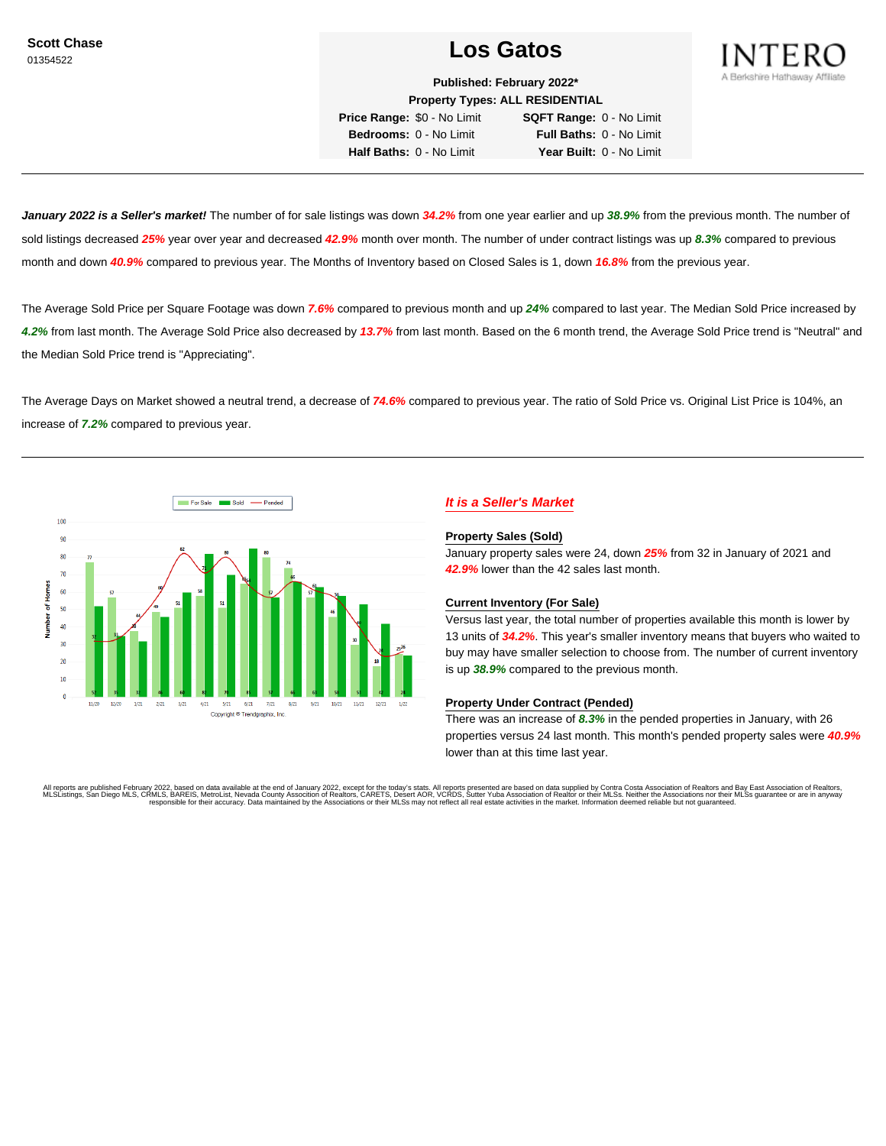# Scott Chase **Los Gatos**



**Published: February 2022\* Property Types: ALL RESIDENTIAL**

**Price Range:** \$0 - No Limit **SQFT Range:** 0 - No Limit **Bedrooms:** 0 - No Limit **Full Baths:** 0 - No Limit **Half Baths:** 0 - No Limit **Year Built:** 0 - No Limit

**January 2022 is a Seller's market!** The number of for sale listings was down **34.2%** from one year earlier and up **38.9%** from the previous month. The number of sold listings decreased **25%** year over year and decreased **42.9%** month over month. The number of under contract listings was up **8.3%** compared to previous month and down **40.9%** compared to previous year. The Months of Inventory based on Closed Sales is 1, down **16.8%** from the previous year.

The Average Sold Price per Square Footage was down **7.6%** compared to previous month and up **24%** compared to last year. The Median Sold Price increased by **4.2%** from last month. The Average Sold Price also decreased by **13.7%** from last month. Based on the 6 month trend, the Average Sold Price trend is "Neutral" and the Median Sold Price trend is "Appreciating".

The Average Days on Market showed a neutral trend, a decrease of **74.6%** compared to previous year. The ratio of Sold Price vs. Original List Price is 104%, an increase of **7.2%** compared to previous year.



## **It is a Seller's Market**

### **Property Sales (Sold)**

January property sales were 24, down **25%** from 32 in January of 2021 and **42.9%** lower than the 42 sales last month.

### **Current Inventory (For Sale)**

Versus last year, the total number of properties available this month is lower by 13 units of **34.2%**. This year's smaller inventory means that buyers who waited to buy may have smaller selection to choose from. The number of current inventory is up **38.9%** compared to the previous month.

### **Property Under Contract (Pended)**

There was an increase of **8.3%** in the pended properties in January, with 26 properties versus 24 last month. This month's pended property sales were **40.9%** lower than at this time last year.

All reports are published February 2022, based on data available at the end of January 2022, except for the today's stats. All reports presented are based on data supplied by Contra Costa Association of Realtors and Bay Ea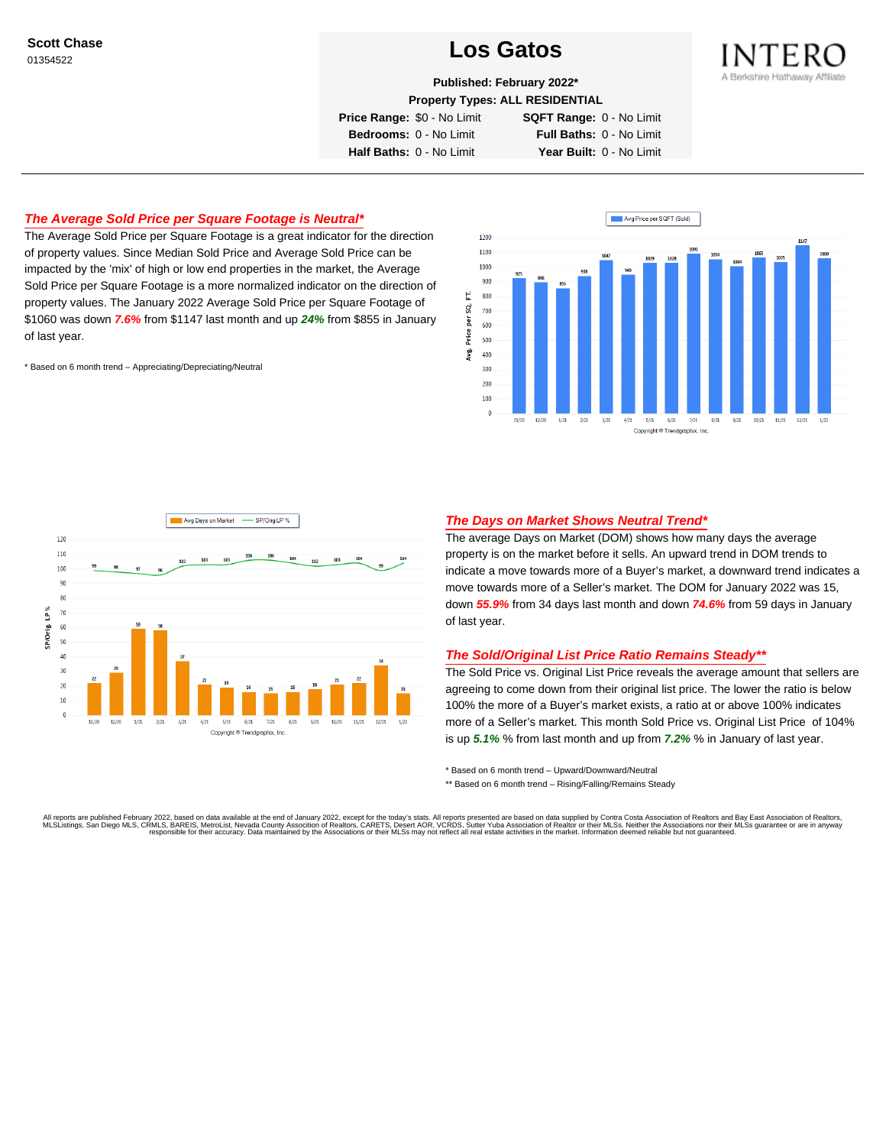# Scott Chase<br>01354522<br>01354522



**Published: February 2022\***

**Property Types: ALL RESIDENTIAL**

**Price Range:** \$0 - No Limit **SQFT Range:** 0 - No Limit

**Bedrooms:** 0 - No Limit **Full Baths:** 0 - No Limit **Half Baths:** 0 - No Limit **Year Built:** 0 - No Limit

## **The Average Sold Price per Square Footage is Neutral\***

The Average Sold Price per Square Footage is a great indicator for the direction of property values. Since Median Sold Price and Average Sold Price can be impacted by the 'mix' of high or low end properties in the market, the Average Sold Price per Square Footage is a more normalized indicator on the direction of property values. The January 2022 Average Sold Price per Square Footage of \$1060 was down **7.6%** from \$1147 last month and up **24%** from \$855 in January of last year.

\* Based on 6 month trend – Appreciating/Depreciating/Neutral





## **The Days on Market Shows Neutral Trend\***

The average Days on Market (DOM) shows how many days the average property is on the market before it sells. An upward trend in DOM trends to indicate a move towards more of a Buyer's market, a downward trend indicates a move towards more of a Seller's market. The DOM for January 2022 was 15, down **55.9%** from 34 days last month and down **74.6%** from 59 days in January of last year.

### **The Sold/Original List Price Ratio Remains Steady\*\***

The Sold Price vs. Original List Price reveals the average amount that sellers are agreeing to come down from their original list price. The lower the ratio is below 100% the more of a Buyer's market exists, a ratio at or above 100% indicates more of a Seller's market. This month Sold Price vs. Original List Price of 104% is up **5.1%** % from last month and up from **7.2%** % in January of last year.

\* Based on 6 month trend – Upward/Downward/Neutral

\*\* Based on 6 month trend - Rising/Falling/Remains Steady

All reports are published February 2022, based on data available at the end of January 2022, except for the today's stats. All reports presented are based on data supplied by Contra Costa Association of Realtors and Bay Ea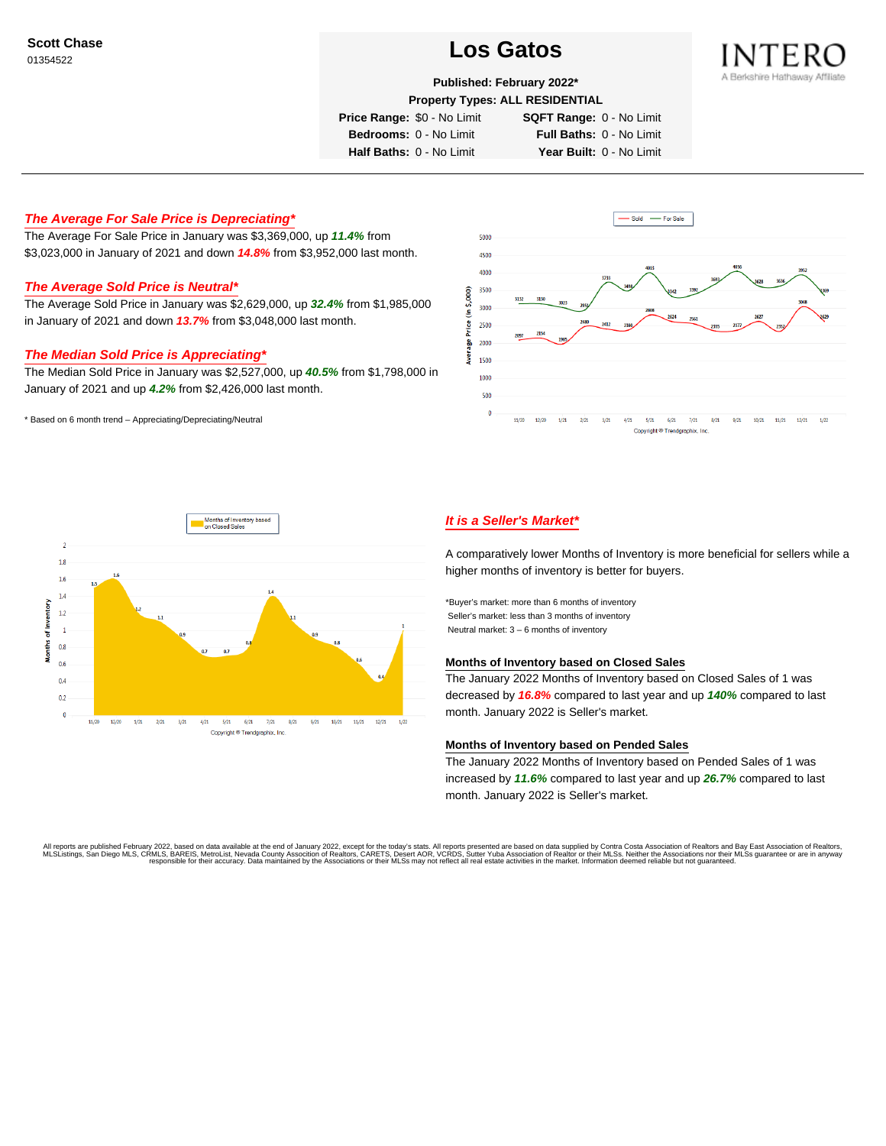# Scott Chase<br>01354522<br>01354522



**Published: February 2022\***

**Property Types: ALL RESIDENTIAL**

**Price Range:** \$0 - No Limit **SQFT Range:** 0 - No Limit

**Bedrooms:** 0 - No Limit **Full Baths:** 0 - No Limit

**Half Baths:** 0 - No Limit **Year Built:** 0 - No Limit

## **The Average For Sale Price is Depreciating\***

The Average For Sale Price in January was \$3,369,000, up **11.4%** from \$3,023,000 in January of 2021 and down **14.8%** from \$3,952,000 last month.

### **The Average Sold Price is Neutral\***

The Average Sold Price in January was \$2,629,000, up **32.4%** from \$1,985,000 in January of 2021 and down **13.7%** from \$3,048,000 last month.

### **The Median Sold Price is Appreciating\***

The Median Sold Price in January was \$2,527,000, up **40.5%** from \$1,798,000 in January of 2021 and up **4.2%** from \$2,426,000 last month.

\* Based on 6 month trend – Appreciating/Depreciating/Neutral





## **It is a Seller's Market\***

A comparatively lower Months of Inventory is more beneficial for sellers while a higher months of inventory is better for buyers.

\*Buyer's market: more than 6 months of inventory Seller's market: less than 3 months of inventory Neutral market: 3 – 6 months of inventory

### **Months of Inventory based on Closed Sales**

The January 2022 Months of Inventory based on Closed Sales of 1 was decreased by **16.8%** compared to last year and up **140%** compared to last month. January 2022 is Seller's market.

#### **Months of Inventory based on Pended Sales**

The January 2022 Months of Inventory based on Pended Sales of 1 was increased by **11.6%** compared to last year and up **26.7%** compared to last month. January 2022 is Seller's market.

All reports are published February 2022, based on data available at the end of January 2022, except for the today's stats. All reports presented are based on data supplied by Contra Costa Association of Realtors, and be as responsible for their accuracy. Data maintained by the Associations or their MLSs may not reflect all real estate activities in the market. Information deemed reliable but not quaranteed